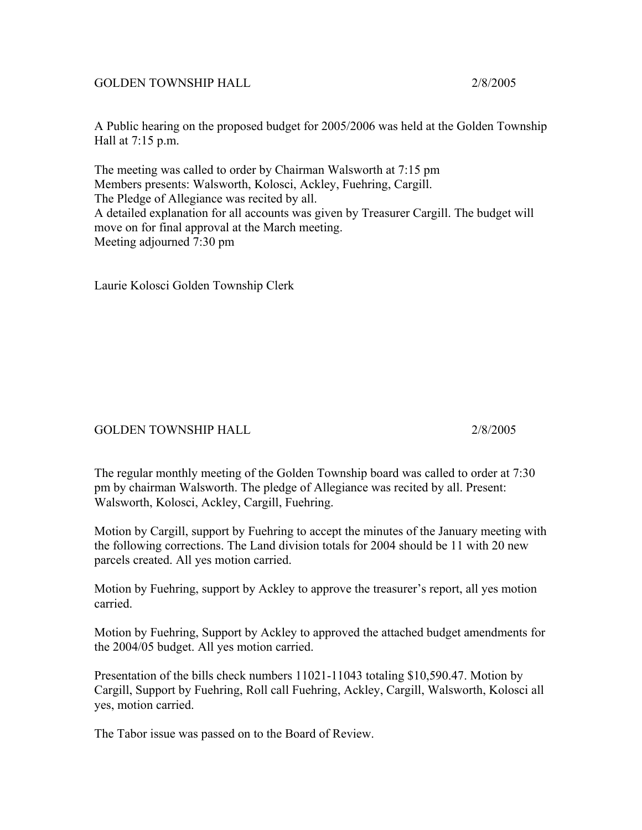## GOLDEN TOWNSHIP HALL 2/8/2005

A Public hearing on the proposed budget for 2005/2006 was held at the Golden Township Hall at 7:15 p.m.

The meeting was called to order by Chairman Walsworth at 7:15 pm Members presents: Walsworth, Kolosci, Ackley, Fuehring, Cargill. The Pledge of Allegiance was recited by all. A detailed explanation for all accounts was given by Treasurer Cargill. The budget will move on for final approval at the March meeting. Meeting adjourned 7:30 pm

Laurie Kolosci Golden Township Clerk

GOLDEN TOWNSHIP HALL 2/8/2005

The regular monthly meeting of the Golden Township board was called to order at 7:30 pm by chairman Walsworth. The pledge of Allegiance was recited by all. Present: Walsworth, Kolosci, Ackley, Cargill, Fuehring.

Motion by Cargill, support by Fuehring to accept the minutes of the January meeting with the following corrections. The Land division totals for 2004 should be 11 with 20 new parcels created. All yes motion carried.

Motion by Fuehring, support by Ackley to approve the treasurer's report, all yes motion carried.

Motion by Fuehring, Support by Ackley to approved the attached budget amendments for the 2004/05 budget. All yes motion carried.

Presentation of the bills check numbers 11021-11043 totaling \$10,590.47. Motion by Cargill, Support by Fuehring, Roll call Fuehring, Ackley, Cargill, Walsworth, Kolosci all yes, motion carried.

The Tabor issue was passed on to the Board of Review.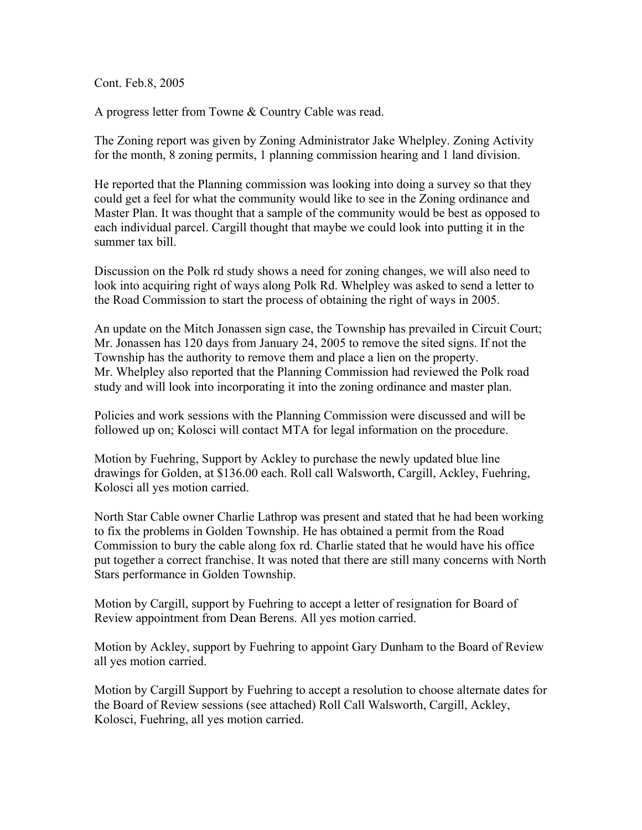Cont. Feb.8, 2005

A progress letter from Towne & Country Cable was read.

The Zoning report was given by Zoning Administrator Jake Whelpley. Zoning Activity for the month, 8 zoning permits, 1 planning commission hearing and 1 land division.

He reported that the Planning commission was looking into doing a survey so that they could get a feel for what the community would like to see in the Zoning ordinance and Master Plan. It was thought that a sample of the community would be best as opposed to each individual parcel. Cargill thought that maybe we could look into putting it in the summer tax bill.

Discussion on the Polk rd study shows a need for zoning changes, we will also need to look into acquiring right of ways along Polk Rd. Whelpley was asked to send a letter to the Road Commission to start the process of obtaining the right of ways in 2005.

An update on the Mitch Jonassen sign case, the Township has prevailed in Circuit Court; Mr. Jonassen has 120 days from January 24, 2005 to remove the sited signs. If not the Township has the authority to remove them and place a lien on the property. Mr. Whelpley also reported that the Planning Commission had reviewed the Polk road study and will look into incorporating it into the zoning ordinance and master plan.

Policies and work sessions with the Planning Commission were discussed and will be followed up on; Kolosci will contact MTA for legal information on the procedure.

Motion by Fuehring, Support by Ackley to purchase the newly updated blue line drawings for Golden, at \$136.00 each. Roll call Walsworth, Cargill, Ackley, Fuehring, Kolosci all yes motion carried.

North Star Cable owner Charlie Lathrop was present and stated that he had been working to fix the problems in Golden Township. He has obtained a permit from the Road Commission to bury the cable along fox rd. Charlie stated that he would have his office put together a correct franchise. It was noted that there are still many concerns with North Stars performance in Golden Township.

Motion by Cargill, support by Fuehring to accept a letter of resignation for Board of Review appointment from Dean Berens. All yes motion carried.

Motion by Ackley, support by Fuehring to appoint Gary Dunham to the Board of Review all yes motion carried.

Motion by Cargill Support by Fuehring to accept a resolution to choose alternate dates for the Board of Review sessions (see attached) Roll Call Walsworth, Cargill, Ackley, Kolosci, Fuehring, all yes motion carried.